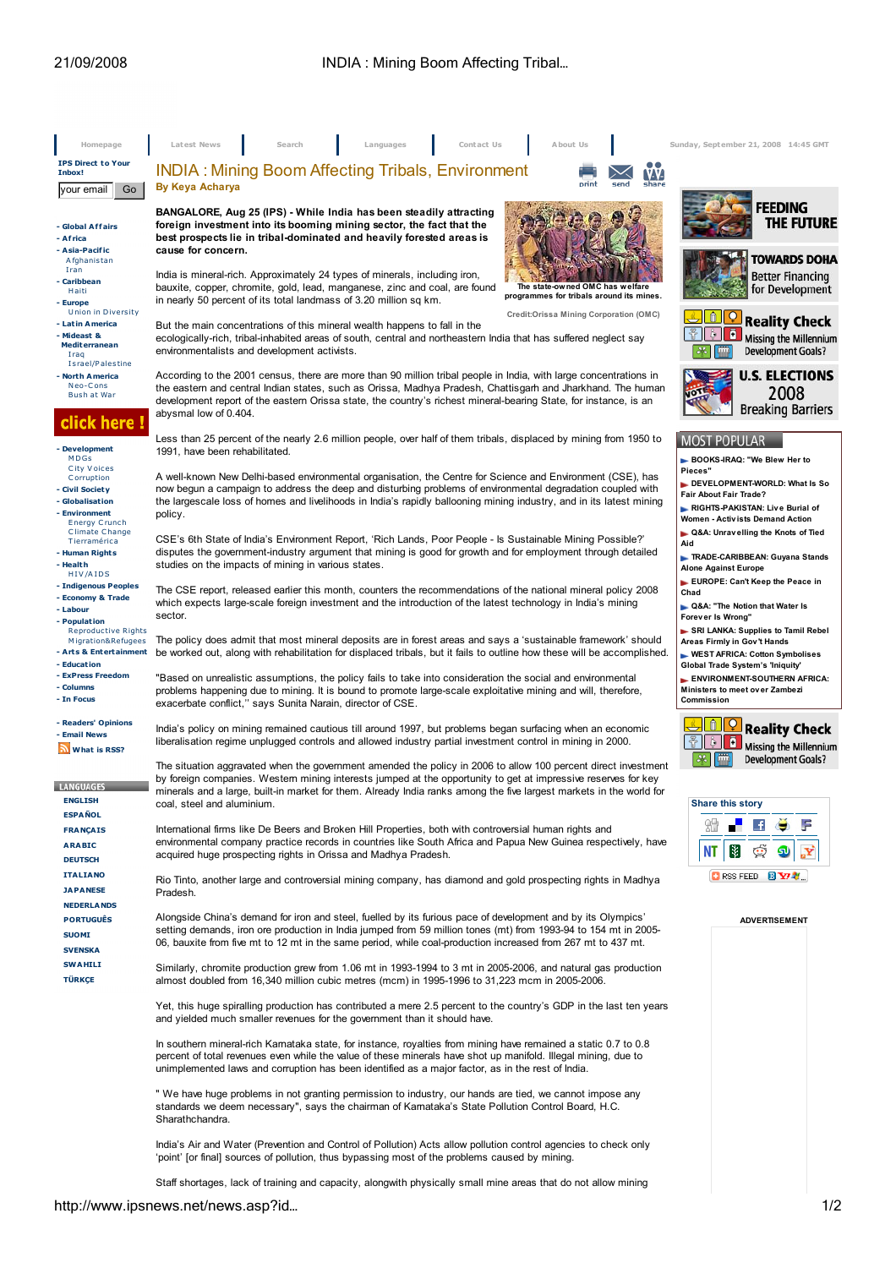| Homepage                                                                                                        | Latest News<br>Contact Us<br>About Us<br>Search<br>Languages                                                                                                                                                                                                                                                                                                                         | Sunday, September 21, 2008 14:45 GMT                                                                                                            |
|-----------------------------------------------------------------------------------------------------------------|--------------------------------------------------------------------------------------------------------------------------------------------------------------------------------------------------------------------------------------------------------------------------------------------------------------------------------------------------------------------------------------|-------------------------------------------------------------------------------------------------------------------------------------------------|
| <b>IPS Direct to Your</b><br>Inbox!                                                                             | <b>INDIA: Mining Boom Affecting Tribals, Environment</b><br>y y<br>share<br>By Keya Acharya                                                                                                                                                                                                                                                                                          |                                                                                                                                                 |
| Go<br>your email<br>- Global Affairs<br>- Africa<br>- Asia-Pacific<br>Afghanistan                               | BANGALORE, Aug 25 (IPS) - While India has been steadily attracting<br>foreign investment into its booming mining sector, the fact that the<br>best prospects lie in tribal-dominated and heavily forested areas is<br>cause for concern.                                                                                                                                             | <b>FEEDING</b><br><b>THE FUTURE</b><br>TOWARDS DOHA                                                                                             |
| Iran<br>- Caribbean<br>Haiti<br>- Europe                                                                        | India is mineral-rich. Approximately 24 types of minerals, including iron,<br>The state-owned OMC has welfare<br>bauxite, copper, chromite, gold, lead, manganese, zinc and coal, are found<br>programmes for tribals around its mines.<br>in nearly 50 percent of its total landmass of 3.20 million sq km.                                                                         | <b>Better Financing</b><br>for Development                                                                                                      |
| <b>Union in Diversity</b><br>- Latin America<br>- Mideast &<br><b>Mediterranean</b><br>Iraq<br>Israel/Palestine | Credit:Orissa Mining Corporation (OMC)<br>But the main concentrations of this mineral wealth happens to fall in the<br>ecologically-rich, tribal-inhabited areas of south, central and northeastern India that has suffered neglect say<br>environmentalists and development activists.                                                                                              | <u>ହ</u><br><b>Reality Check</b><br>e<br>Missing the Millennium<br>m<br><b>Development Goals?</b>                                               |
| - North America<br>Neo-Cons<br><b>Bush at War</b><br>click here !                                               | According to the 2001 census, there are more than 90 million tribal people in India, with large concentrations in<br>the eastern and central Indian states, such as Orissa, Madhya Pradesh, Chattisgarh and Jharkhand. The human<br>development report of the eastern Orissa state, the country's richest mineral-bearing State, for instance, is an<br>abysmal low of 0.404.        | <b>U.S. ELECTIONS</b><br>2008<br><b>VOTE</b><br><b>Breaking Barriers</b>                                                                        |
| - Development<br>MDGs                                                                                           | Less than 25 percent of the nearly 2.6 million people, over half of them tribals, displaced by mining from 1950 to<br>1991, have been rehabilitated.                                                                                                                                                                                                                                 | <b>MOST POPULAR</b><br>BOOKS-IRAQ: "We Blew Her to                                                                                              |
| City Voices<br>Corruption<br>- Civil Society<br>- Globalisation<br>- Environment<br><b>Energy Crunch</b>        | A well-known New Delhi-based environmental organisation, the Centre for Science and Environment (CSE), has<br>now begun a campaign to address the deep and disturbing problems of environmental degradation coupled with<br>the largescale loss of homes and livelihoods in India's rapidly ballooning mining industry, and in its latest mining<br>policy.                          | Pieces"<br>DEVELOPMENT-WORLD: What Is So<br><b>Fair About Fair Trade?</b><br>RIGHTS-PAKISTAN: Live Burial of<br>Women - Activists Demand Action |
| Climate Change<br>Tierramérica<br>- Human Rights<br>- Health<br>HIV/AIDS                                        | CSE's 6th State of India's Environment Report, 'Rich Lands, Poor People - Is Sustainable Mining Possible?'<br>disputes the government-industry argument that mining is good for growth and for employment through detailed<br>studies on the impacts of mining in various states.                                                                                                    | ► Q&A: Unravelling the Knots of Tied<br>Aid<br>TRADE-CARIBBEAN: Guyana Stands<br><b>Alone Against Europe</b><br>EUROPE: Can't Keep the Peace in |
| - Indigenous Peoples<br>- Economy & Trade<br>- Labour<br>- Population<br><b>Reproductive Rights</b>             | The CSE report, released earlier this month, counters the recommendations of the national mineral policy 2008<br>which expects large-scale foreign investment and the introduction of the latest technology in India's mining<br>sector.                                                                                                                                             | Chad<br>► Q&A: "The Notion that Water Is<br><b>Forever Is Wrong"</b><br>SRI LANKA: Supplies to Tamil Rebel                                      |
| Migration&Refugees<br>- Arts & Entertainment<br>- Education<br>- ExPress Freedom                                | The policy does admit that most mineral deposits are in forest areas and says a 'sustainable framework' should<br>be worked out, along with rehabilitation for displaced tribals, but it fails to outline how these will be accomplished.                                                                                                                                            | Areas Firmly in Gov't Hands<br><b>WEST AFRICA: Cotton Symbolises</b><br>Global Trade System's 'Iniquity'                                        |
| - Columns<br>- In Focus                                                                                         | "Based on unrealistic assumptions, the policy fails to take into consideration the social and environmental<br>problems happening due to mining. It is bound to promote large-scale exploitative mining and will, therefore,<br>exacerbate conflict," says Sunita Narain, director of CSE.                                                                                           | ENVIRONMENT-SOUTHERN AFRICA:<br>Ministers to meet over Zambezi<br>Commission                                                                    |
| - Readers' Opinions<br>- Email News<br>What is RSS?                                                             | India's policy on mining remained cautious till around 1997, but problems began surfacing when an economic<br>liberalisation regime unplugged controls and allowed industry partial investment control in mining in 2000.                                                                                                                                                            | <b>Reality Check</b><br>в<br>Missing the Millennium<br>æ<br>Development Goals?                                                                  |
| <b>LANGUAGES</b><br><b>ENGLISH</b><br><b>ESPAÑOL</b>                                                            | The situation aggravated when the government amended the policy in 2006 to allow 100 percent direct investment<br>by foreign companies. Westem mining interests jumped at the opportunity to get at impressive reserves for key<br>minerals and a large, built-in market for them. Already India ranks among the five largest markets in the world for<br>coal, steel and aluminium. | Share this story                                                                                                                                |
| <b>FRANÇAIS</b><br><b>ARABIC</b><br><b>DEUTSCH</b>                                                              | International firms like De Beers and Broken Hill Properties, both with controversial human rights and<br>environmental company practice records in countries like South Africa and Papua New Guinea respectively, have<br>acquired huge prospecting rights in Orissa and Madhya Pradesh.                                                                                            | NT<br>閉                                                                                                                                         |
| <b>ITALIANO</b><br><b>JAPANESE</b><br><b>NEDERLANDS</b>                                                         | Rio Tinto, another large and controversial mining company, has diamond and gold prospecting rights in Madhya<br>Pradesh.                                                                                                                                                                                                                                                             | <b>CIRSS FEED BY Y'A'</b>                                                                                                                       |
| <b>PORTUGUÊS</b><br><b>SUOMI</b><br><b>SVENSKA</b>                                                              | Alongside China's demand for iron and steel, fuelled by its furious pace of development and by its Olympics'<br>setting demands, iron ore production in India jumped from 59 million tones (mt) from 1993-94 to 154 mt in 2005-<br>06, bauxite from five mt to 12 mt in the same period, while coal-production increased from 267 mt to 437 mt.                                      | <b>ADVERTISEMENT</b>                                                                                                                            |
| <b>SWAHILI</b><br><b>TÜRKÇE</b>                                                                                 | Similarly, chromite production grew from 1.06 mt in 1993-1994 to 3 mt in 2005-2006, and natural gas production<br>almost doubled from 16,340 million cubic metres (mcm) in 1995-1996 to 31,223 mcm in 2005-2006.                                                                                                                                                                     |                                                                                                                                                 |
|                                                                                                                 | Yet, this huge spiralling production has contributed a mere 2.5 percent to the country's GDP in the last ten years<br>and yielded much smaller revenues for the government than it should have.                                                                                                                                                                                      |                                                                                                                                                 |
|                                                                                                                 | In southern mineral-rich Karnataka state, for instance, royalties from mining have remained a static 0.7 to 0.8<br>percent of total revenues even while the value of these minerals have shot up manifold. Illegal mining, due to<br>unimplemented laws and corruption has been identified as a major factor, as in the rest of India.                                               |                                                                                                                                                 |
|                                                                                                                 | " We have huge problems in not granting permission to industry, our hands are tied, we cannot impose any<br>standards we deem necessary", says the chairman of Kamataka's State Pollution Control Board, H.C.<br>Sharathchandra.                                                                                                                                                     |                                                                                                                                                 |
|                                                                                                                 | India's Air and Water (Prevention and Control of Pollution) Acts allow pollution control agencies to check only<br>'point' [or final] sources of pollution, thus bypassing most of the problems caused by mining.                                                                                                                                                                    |                                                                                                                                                 |

Staff shortages, lack of training and capacity, alongwith physically small mine areas that do not allow mining